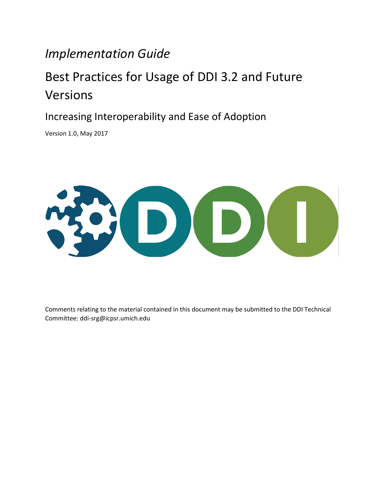# *Implementation Guide*

# Best Practices for Usage of DDI 3.2 and Future Versions

Increasing Interoperability and Ease of Adoption

Version 1.0, May 2017



Comments relating to the material contained in this document may be submitted to the DDI Technical Committee: ddi-srg@icpsr.umich.edu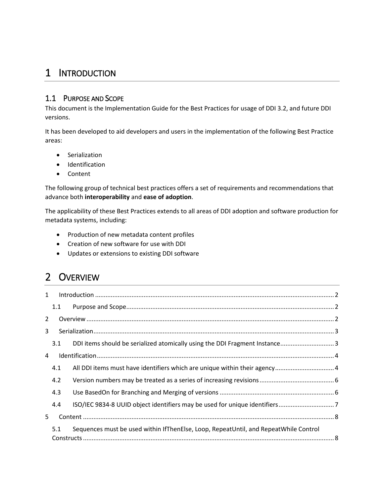# <span id="page-1-0"></span>1 INTRODUCTION

### <span id="page-1-1"></span>1.1 PURPOSE AND SCOPE

This document is the Implementation Guide for the Best Practices for usage of DDI 3.2, and future DDI versions.

It has been developed to aid developers and users in the implementation of the following Best Practice areas:

- **•** Serialization
- **•** Identification
- Content

The following group of technical best practices offers a set of requirements and recommendations that advance both **interoperability** and **ease of adoption**.

The applicability of these Best Practices extends to all areas of DDI adoption and software production for metadata systems, including:

- Production of new metadata content profiles
- Creation of new software for use with DDI
- Updates or extensions to existing DDI software

# <span id="page-1-2"></span>2 OVERVIEW

| 1              |     |                                                                                      |  |  |
|----------------|-----|--------------------------------------------------------------------------------------|--|--|
|                | 1.1 |                                                                                      |  |  |
| $\overline{2}$ |     |                                                                                      |  |  |
| $\mathbf{3}$   |     |                                                                                      |  |  |
|                | 3.1 | DDI items should be serialized atomically using the DDI Fragment Instance3           |  |  |
| $\overline{a}$ |     |                                                                                      |  |  |
|                | 4.1 | All DDI items must have identifiers which are unique within their agency 4           |  |  |
|                | 4.2 |                                                                                      |  |  |
|                | 4.3 |                                                                                      |  |  |
|                | 4.4 |                                                                                      |  |  |
| 5.             |     |                                                                                      |  |  |
|                | 5.1 | Sequences must be used within IfThenElse, Loop, RepeatUntil, and RepeatWhile Control |  |  |
|                |     |                                                                                      |  |  |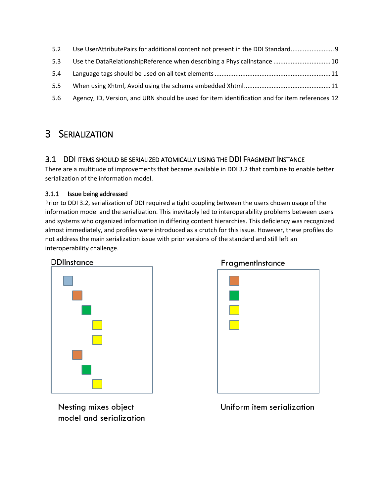| 5.2 | Use UserAttributePairs for additional content not present in the DDI Standard                  |
|-----|------------------------------------------------------------------------------------------------|
| 5.3 | Use the DataRelationshipReference when describing a PhysicalInstance  10                       |
| 5.4 |                                                                                                |
| 5.5 |                                                                                                |
| 5.6 | Agency, ID, Version, and URN should be used for item identification and for item references 12 |

# <span id="page-2-0"></span>3 SERIALIZATION

### <span id="page-2-1"></span>3.1 DDI ITEMS SHOULD BE SERIALIZED ATOMICALLY USING THE DDI FRAGMENT INSTANCE

There are a multitude of improvements that became available in DDI 3.2 that combine to enable better serialization of the information model.

### 3.1.1 Issue being addressed

Prior to DDI 3.2, serialization of DDI required a tight coupling between the users chosen usage of the information model and the serialization. This inevitably led to interoperability problems between users and systems who organized information in differing content hierarchies. This deficiency was recognized almost immediately, and profiles were introduced as a crutch for this issue. However, these profiles do not address the main serialization issue with prior versions of the standard and still left an interoperability challenge.





FragmentInstance

Nesting mixes object model and serialization

Uniform item serialization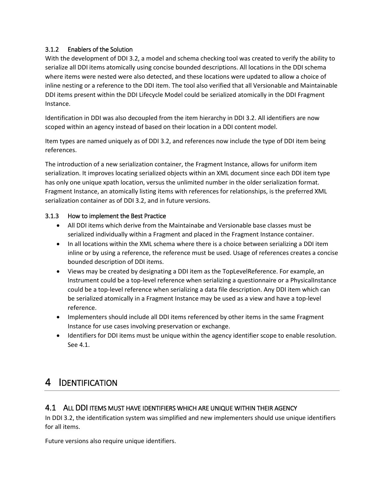### 3.1.2 Enablers of the Solution

With the development of DDI 3.2, a model and schema checking tool was created to verify the ability to serialize all DDI items atomically using concise bounded descriptions. All locations in the DDI schema where items were nested were also detected, and these locations were updated to allow a choice of inline nesting or a reference to the DDI item. The tool also verified that all Versionable and Maintainable DDI items present within the DDI Lifecycle Model could be serialized atomically in the DDI Fragment Instance.

Identification in DDI was also decoupled from the item hierarchy in DDI 3.2. All identifiers are now scoped within an agency instead of based on their location in a DDI content model.

Item types are named uniquely as of DDI 3.2, and references now include the type of DDI item being references.

The introduction of a new serialization container, the Fragment Instance, allows for uniform item serialization. It improves locating serialized objects within an XML document since each DDI item type has only one unique xpath location, versus the unlimited number in the older serialization format. Fragment Instance, an atomically listing items with references for relationships, is the preferred XML serialization container as of DDI 3.2, and in future versions.

#### 3.1.3 How to implement the Best Practice

- All DDI items which derive from the Maintainabe and Versionable base classes must be serialized individually within a Fragment and placed in the Fragment Instance container.
- In all locations within the XML schema where there is a choice between serializing a DDI item inline or by using a reference, the reference must be used. Usage of references creates a concise bounded description of DDI items.
- Views may be created by designating a DDI item as the TopLevelReference. For example, an Instrument could be a top-level reference when serializing a questionnaire or a PhysicalInstance could be a top-level reference when serializing a data file description. Any DDI item which can be serialized atomically in a Fragment Instance may be used as a view and have a top-level reference.
- Implementers should include all DDI items referenced by other items in the same Fragment Instance for use cases involving preservation or exchange.
- Identifiers for DDI items must be unique within the agency identifier scope to enable resolution. Se[e 4.1.](#page-3-1)

# <span id="page-3-0"></span>4 IDENTIFICATION

### <span id="page-3-1"></span>4.1 ALL DDI ITEMS MUST HAVE IDENTIFIERS WHICH ARE UNIQUE WITHIN THEIR AGENCY

In DDI 3.2, the identification system was simplified and new implementers should use unique identifiers for all items.

Future versions also require unique identifiers.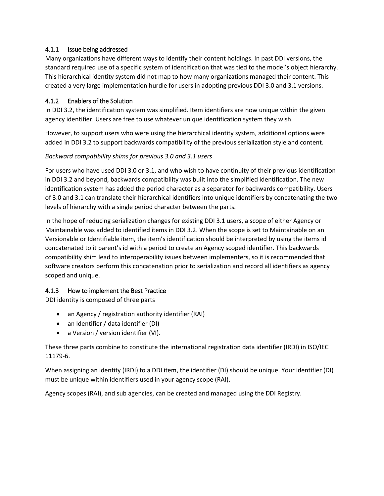### 4.1.1 Issue being addressed

Many organizations have different ways to identify their content holdings. In past DDI versions, the standard required use of a specific system of identification that was tied to the model's object hierarchy. This hierarchical identity system did not map to how many organizations managed their content. This created a very large implementation hurdle for users in adopting previous DDI 3.0 and 3.1 versions.

### 4.1.2 Enablers of the Solution

In DDI 3.2, the identification system was simplified. Item identifiers are now unique within the given agency identifier. Users are free to use whatever unique identification system they wish.

However, to support users who were using the hierarchical identity system, additional options were added in DDI 3.2 to support backwards compatibility of the previous serialization style and content.

### *Backward compatibility shims for previous 3.0 and 3.1 users*

For users who have used DDI 3.0 or 3.1, and who wish to have continuity of their previous identification in DDI 3.2 and beyond, backwards compatibility was built into the simplified identification. The new identification system has added the period character as a separator for backwards compatibility. Users of 3.0 and 3.1 can translate their hierarchical identifiers into unique identifiers by concatenating the two levels of hierarchy with a single period character between the parts.

In the hope of reducing serialization changes for existing DDI 3.1 users, a scope of either Agency or Maintainable was added to identified items in DDI 3.2. When the scope is set to Maintainable on an Versionable or Identifiable item, the item's identification should be interpreted by using the items id concatenated to it parent's id with a period to create an Agency scoped identifier. This backwards compatibility shim lead to interoperability issues between implementers, so it is recommended that software creators perform this concatenation prior to serialization and record all identifiers as agency scoped and unique.

### 4.1.3 How to implement the Best Practice

DDI identity is composed of three parts

- an Agency / registration authority identifier (RAI)
- an Identifier / data identifier (DI)
- a Version / version identifier (VI).

These three parts combine to constitute the international registration data identifier (IRDI) in ISO/IEC 11179-6.

When assigning an identity (IRDI) to a DDI item, the identifier (DI) should be unique. Your identifier (DI) must be unique within identifiers used in your agency scope (RAI).

Agency scopes (RAI), and sub agencies, can be created and managed using the DDI Registry.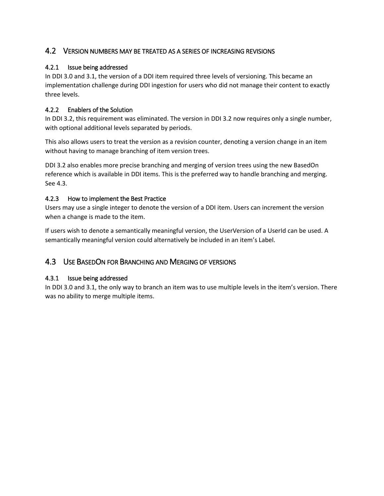### <span id="page-5-0"></span>4.2 VERSION NUMBERS MAY BE TREATED AS A SERIES OF INCREASING REVISIONS

### 4.2.1 Issue being addressed

In DDI 3.0 and 3.1, the version of a DDI item required three levels of versioning. This became an implementation challenge during DDI ingestion for users who did not manage their content to exactly three levels.

### 4.2.2 Enablers of the Solution

In DDI 3.2, this requirement was eliminated. The version in DDI 3.2 now requires only a single number, with optional additional levels separated by periods.

This also allows users to treat the version as a revision counter, denoting a version change in an item without having to manage branching of item version trees.

DDI 3.2 also enables more precise branching and merging of version trees using the new BasedOn reference which is available in DDI items. This is the preferred way to handle branching and merging. Se[e 4.3.](#page-5-1)

### 4.2.3 How to implement the Best Practice

Users may use a single integer to denote the version of a DDI item. Users can increment the version when a change is made to the item.

If users wish to denote a semantically meaningful version, the UserVersion of a UserId can be used. A semantically meaningful version could alternatively be included in an item's Label.

### <span id="page-5-1"></span>4.3 USE BASEDON FOR BRANCHING AND MERGING OF VERSIONS

#### 4.3.1 Issue being addressed

In DDI 3.0 and 3.1, the only way to branch an item was to use multiple levels in the item's version. There was no ability to merge multiple items.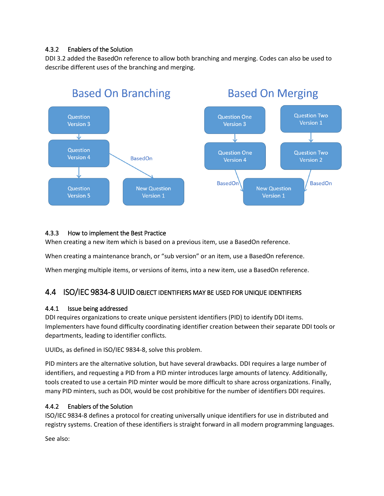### 4.3.2 Enablers of the Solution

DDI 3.2 added the BasedOn reference to allow both branching and merging. Codes can also be used to describe different uses of the branching and merging.



### 4.3.3 How to implement the Best Practice

When creating a new item which is based on a previous item, use a BasedOn reference.

When creating a maintenance branch, or "sub version" or an item, use a BasedOn reference.

When merging multiple items, or versions of items, into a new item, use a BasedOn reference.

### <span id="page-6-0"></span>4.4 ISO/IEC 9834-8 UUID OBJECT IDENTIFIERS MAY BE USED FOR UNIQUE IDENTIFIERS

#### 4.4.1 Issue being addressed

DDI requires organizations to create unique persistent identifiers (PID) to identify DDI items. Implementers have found difficulty coordinating identifier creation between their separate DDI tools or departments, leading to identifier conflicts.

UUIDs, as defined in ISO/IEC 9834-8, solve this problem.

PID minters are the alternative solution, but have several drawbacks. DDI requires a large number of identifiers, and requesting a PID from a PID minter introduces large amounts of latency. Additionally, tools created to use a certain PID minter would be more difficult to share across organizations. Finally, many PID minters, such as DOI, would be cost prohibitive for the number of identifiers DDI requires.

### 4.4.2 Enablers of the Solution

ISO/IEC 9834-8 defines a protocol for creating universally unique identifiers for use in distributed and registry systems. Creation of these identifiers is straight forward in all modern programming languages.

See also: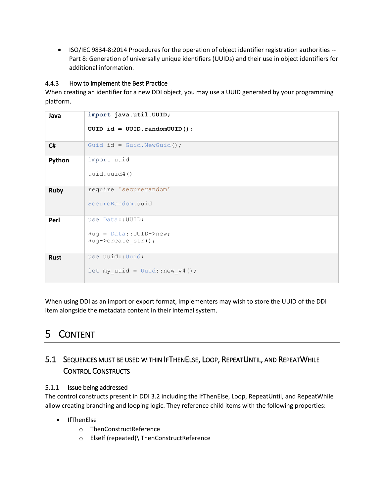ISO/IEC 9834-8:2014 Procedures for the operation of object identifier registration authorities -- Part 8: Generation of universally unique identifiers (UUIDs) and their use in object identifiers for additional information.

### 4.4.3 How to implement the Best Practice

When creating an identifier for a new DDI object, you may use a UUID generated by your programming platform.

| Java        | import java.util.UUID;                     |
|-------------|--------------------------------------------|
|             | UUID id = UUID.randomUUID();               |
| C#          | Guid id = Guid. NewGuid();                 |
| Python      | import uuid                                |
|             | uuid.uuid4()                               |
| <b>Ruby</b> | require 'securerandom'                     |
|             | SecureRandom.uuid                          |
| Perl        | use Data:: UUID;                           |
|             | $\texttt{Sug} = \texttt{Data::UUID->new};$ |
|             | \$ug->create str();                        |
| <b>Rust</b> | use uuid::Uuid;                            |
|             | let my uuid = Uuid::new $v4()$ ;           |

When using DDI as an import or export format, Implementers may wish to store the UUID of the DDI item alongside the metadata content in their internal system.

# <span id="page-7-0"></span>5 CONTENT

### <span id="page-7-1"></span>5.1 SEQUENCES MUST BE USED WITHIN IFTHENELSE, LOOP, REPEATUNTIL, AND REPEATWHILE CONTROL CONSTRUCTS

### 5.1.1 Issue being addressed

The control constructs present in DDI 3.2 including the IfThenElse, Loop, RepeatUntil, and RepeatWhile allow creating branching and looping logic. They reference child items with the following properties:

- IfThenElse
	- o ThenConstructReference
	- o ElseIf (repeated)\ ThenConstructReference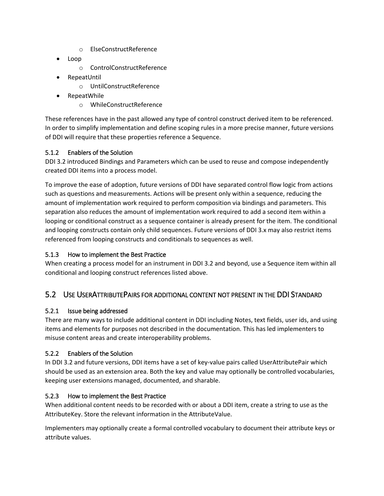- o ElseConstructReference
- Loop
	- o ControlConstructReference
- RepeatUntil
	- o UntilConstructReference
- RepeatWhile
	- o WhileConstructReference

These references have in the past allowed any type of control construct derived item to be referenced. In order to simplify implementation and define scoping rules in a more precise manner, future versions of DDI will require that these properties reference a Sequence.

### 5.1.2 Enablers of the Solution

DDI 3.2 introduced Bindings and Parameters which can be used to reuse and compose independently created DDI items into a process model.

To improve the ease of adoption, future versions of DDI have separated control flow logic from actions such as questions and measurements. Actions will be present only within a sequence, reducing the amount of implementation work required to perform composition via bindings and parameters. This separation also reduces the amount of implementation work required to add a second item within a looping or conditional construct as a sequence container is already present for the item. The conditional and looping constructs contain only child sequences. Future versions of DDI 3.x may also restrict items referenced from looping constructs and conditionals to sequences as well.

### 5.1.3 How to implement the Best Practice

When creating a process model for an instrument in DDI 3.2 and beyond, use a Sequence item within all conditional and looping construct references listed above.

### <span id="page-8-0"></span>5.2 USE USERATTRIBUTEPAIRS FOR ADDITIONAL CONTENT NOT PRESENT IN THE DDI STANDARD

### 5.2.1 Issue being addressed

There are many ways to include additional content in DDI including Notes, text fields, user ids, and using items and elements for purposes not described in the documentation. This has led implementers to misuse content areas and create interoperability problems.

### 5.2.2 Enablers of the Solution

In DDI 3.2 and future versions, DDI items have a set of key-value pairs called UserAttributePair which should be used as an extension area. Both the key and value may optionally be controlled vocabularies, keeping user extensions managed, documented, and sharable.

### 5.2.3 How to implement the Best Practice

When additional content needs to be recorded with or about a DDI item, create a string to use as the AttributeKey. Store the relevant information in the AttributeValue.

Implementers may optionally create a formal controlled vocabulary to document their attribute keys or attribute values.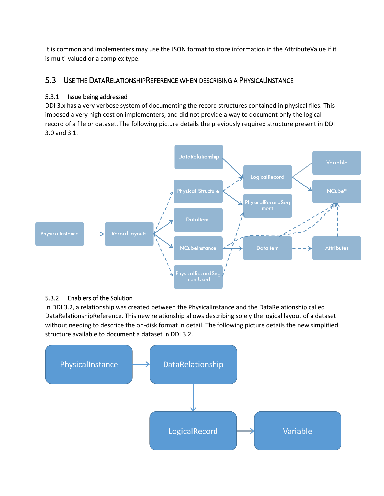It is common and implementers may use the JSON format to store information in the AttributeValue if it is multi-valued or a complex type.

### <span id="page-9-0"></span>5.3 USE THE DATARELATIONSHIPREFERENCE WHEN DESCRIBING A PHYSICALINSTANCE

### 5.3.1 Issue being addressed

DDI 3.x has a very verbose system of documenting the record structures contained in physical files. This imposed a very high cost on implementers, and did not provide a way to document only the logical record of a file or dataset. The following picture details the previously required structure present in DDI 3.0 and 3.1.



#### 5.3.2 Enablers of the Solution

In DDI 3.2, a relationship was created between the PhysicalInstance and the DataRelationship called DataRelationshipReference. This new relationship allows describing solely the logical layout of a dataset without needing to describe the on-disk format in detail. The following picture details the new simplified structure available to document a dataset in DDI 3.2.

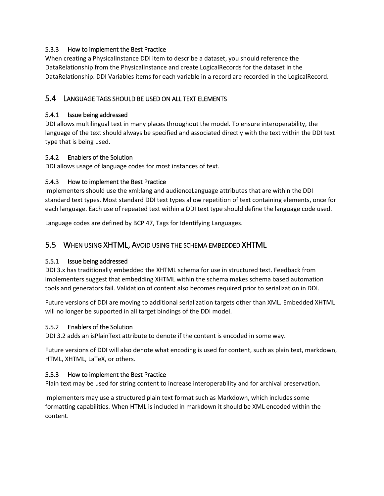### 5.3.3 How to implement the Best Practice

When creating a PhysicalInstance DDI item to describe a dataset, you should reference the DataRelationship from the PhysicalInstance and create LogicalRecords for the dataset in the DataRelationship. DDI Variables items for each variable in a record are recorded in the LogicalRecord.

### <span id="page-10-0"></span>5.4 LANGUAGE TAGS SHOULD BE USED ON ALL TEXT ELEMENTS

### 5.4.1 Issue being addressed

DDI allows multilingual text in many places throughout the model. To ensure interoperability, the language of the text should always be specified and associated directly with the text within the DDI text type that is being used.

### 5.4.2 Enablers of the Solution

DDI allows usage of language codes for most instances of text.

### 5.4.3 How to implement the Best Practice

Implementers should use the xml:lang and audienceLanguage attributes that are within the DDI standard text types. Most standard DDI text types allow repetition of text containing elements, once for each language. Each use of repeated text within a DDI text type should define the language code used.

Language codes are defined by BCP 47, Tags for Identifying Languages.

### <span id="page-10-1"></span>5.5 WHEN USING XHTML, AVOID USING THE SCHEMA EMBEDDED XHTML

#### 5.5.1 Issue being addressed

DDI 3.x has traditionally embedded the XHTML schema for use in structured text. Feedback from implementers suggest that embedding XHTML within the schema makes schema based automation tools and generators fail. Validation of content also becomes required prior to serialization in DDI.

Future versions of DDI are moving to additional serialization targets other than XML. Embedded XHTML will no longer be supported in all target bindings of the DDI model.

### 5.5.2 Enablers of the Solution

DDI 3.2 adds an isPlainText attribute to denote if the content is encoded in some way.

Future versions of DDI will also denote what encoding is used for content, such as plain text, markdown, HTML, XHTML, LaTeX, or others.

### 5.5.3 How to implement the Best Practice

Plain text may be used for string content to increase interoperability and for archival preservation.

Implementers may use a structured plain text format such as Markdown, which includes some formatting capabilities. When HTML is included in markdown it should be XML encoded within the content.